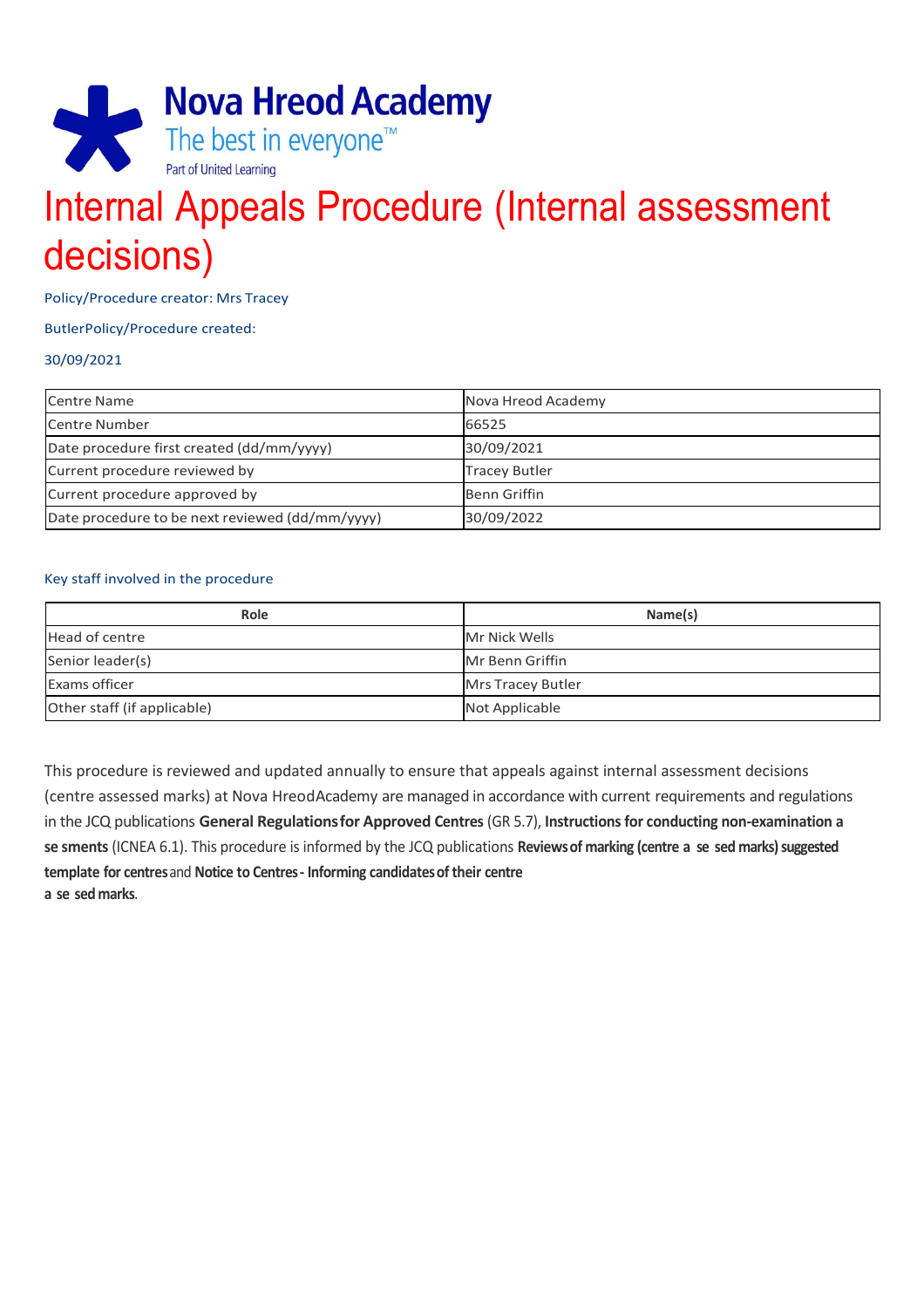

# Internal Appeals Procedure (Internal assessment decisions)

Policy/Procedure creator: Mrs Tracey

#### ButlerPolicy/Procedure created:

#### 30/09/2021

| Centre Name                                     | Nova Hreod Academy   |
|-------------------------------------------------|----------------------|
| Centre Number                                   | 66525                |
| Date procedure first created (dd/mm/yyyy)       | 30/09/2021           |
| Current procedure reviewed by                   | <b>Tracey Butler</b> |
| Current procedure approved by                   | <b>Benn Griffin</b>  |
| Date procedure to be next reviewed (dd/mm/yyyy) | 30/09/2022           |

#### Key staff involved in the procedure

| Role                        | Name(s)           |
|-----------------------------|-------------------|
| Head of centre              | Mr Nick Wells     |
| Senior leader(s)            | Mr Benn Griffin   |
| <b>Exams officer</b>        | Mrs Tracey Butler |
| Other staff (if applicable) | Not Applicable    |

This procedure is reviewed and updated annually to ensure that appeals against internal assessment decisions (centre assessed marks) at Nova HreodAcademy are managed in accordance with current requirements and regulations in the JCQ publications **General Regulationsfor Approved Centres** (GR 5.7), **Instructions for conducting non-examination a se sments** (ICNEA 6.1). This procedure is informed by the JCQ publications **Reviewsof marking (centre a se sed marks)suggested template for centres**and **Notice to Centres- Informing candidatesof their centre a se sed marks**.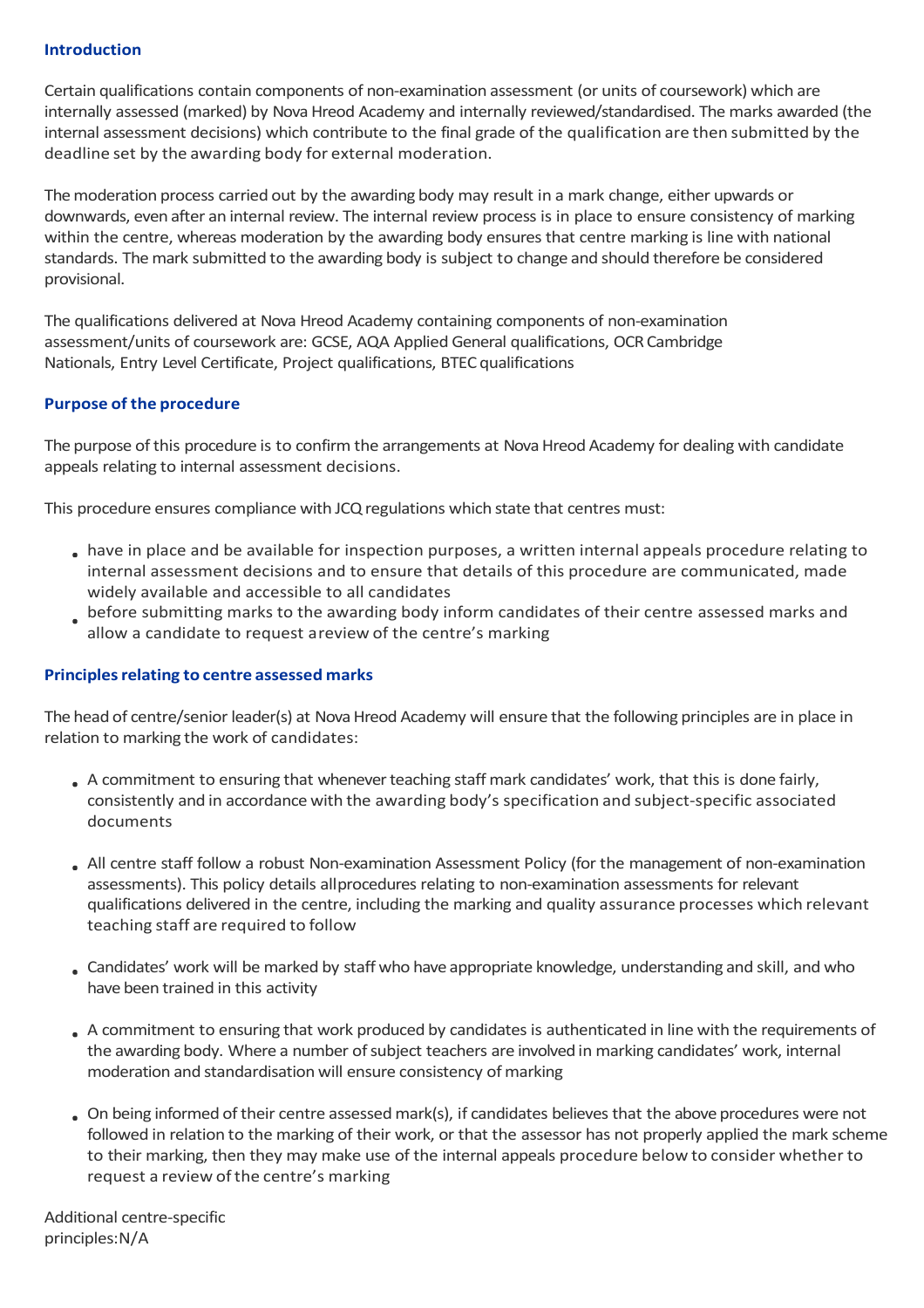## **Introduction**

Certain qualifications contain components of non-examination assessment (or units of coursework) which are internally assessed (marked) by Nova Hreod Academy and internally reviewed/standardised. The marks awarded (the internal assessment decisions) which contribute to the final grade of the qualification are then submitted by the deadline set by the awarding body for external moderation.

The moderation process carried out by the awarding body may result in a mark change, either upwards or downwards, even after an internal review. The internal review process is in place to ensure consistency of marking within the centre, whereas moderation by the awarding body ensures that centre marking is line with national standards. Themark submitted to the awarding body is subject to change and should therefore be considered provisional.

The qualifications delivered at Nova Hreod Academy containing components of non-examination assessment/units of coursework are: GCSE, AQA Applied General qualifications, OCRCambridge Nationals, Entry Level Certificate, Project qualifications, BTEC qualifications

## **Purpose of the procedure**

The purpose of this procedure is to confirm the arrangements at Nova Hreod Academy for dealing with candidate appeals relating to internal assessment decisions.

This procedure ensures compliance with JCQ regulations which state that centres must:

- have in place and be available for inspection purposes, a written internal appeals procedure relating to internal assessment decisions and to ensure that details of this procedure are communicated, made widely available and accessible to all candidates
- before submitting marks to the awarding body inform candidates of their centre assessed marks and allow a candidate to request areview of the centre's marking

## **Principlesrelating to centre assessed marks**

The head of centre/senior leader(s) at Nova Hreod Academy will ensure that the following principles are in place in relation to marking the work of candidates:

- . A commitment to ensuring that whenever teaching staff mark candidates' work, that this is done fairly, consistently and in accordance with the awarding body's specification and subject-specific associated documents
- All centre staff follow a robust Non-examination Assessment Policy (for the management of non-examination assessments). This policy details allprocedures relating to non-examination assessments for relevant qualifications delivered in the centre, including the marking and quality assurance processes which relevant teaching staff are required to follow
- Candidates' work will be marked by staff who have appropriate knowledge, understanding and skill, and who have been trained in this activity
- A commitment to ensuring that work produced by candidates is authenticated in line with the requirements of the awarding body. Where a number of subject teachers are involved in marking candidates' work, internal moderation and standardisation will ensure consistency of marking
- On being informed oftheir centre assessedmark(s), if candidates believesthat the above procedures were not followed in relation to the marking of their work, or that the assessor has not properly applied the mark scheme to their marking, then they may make use of the internal appeals procedure below to consider whether to request a review of the centre's marking

Additional centre-specific principles:N/A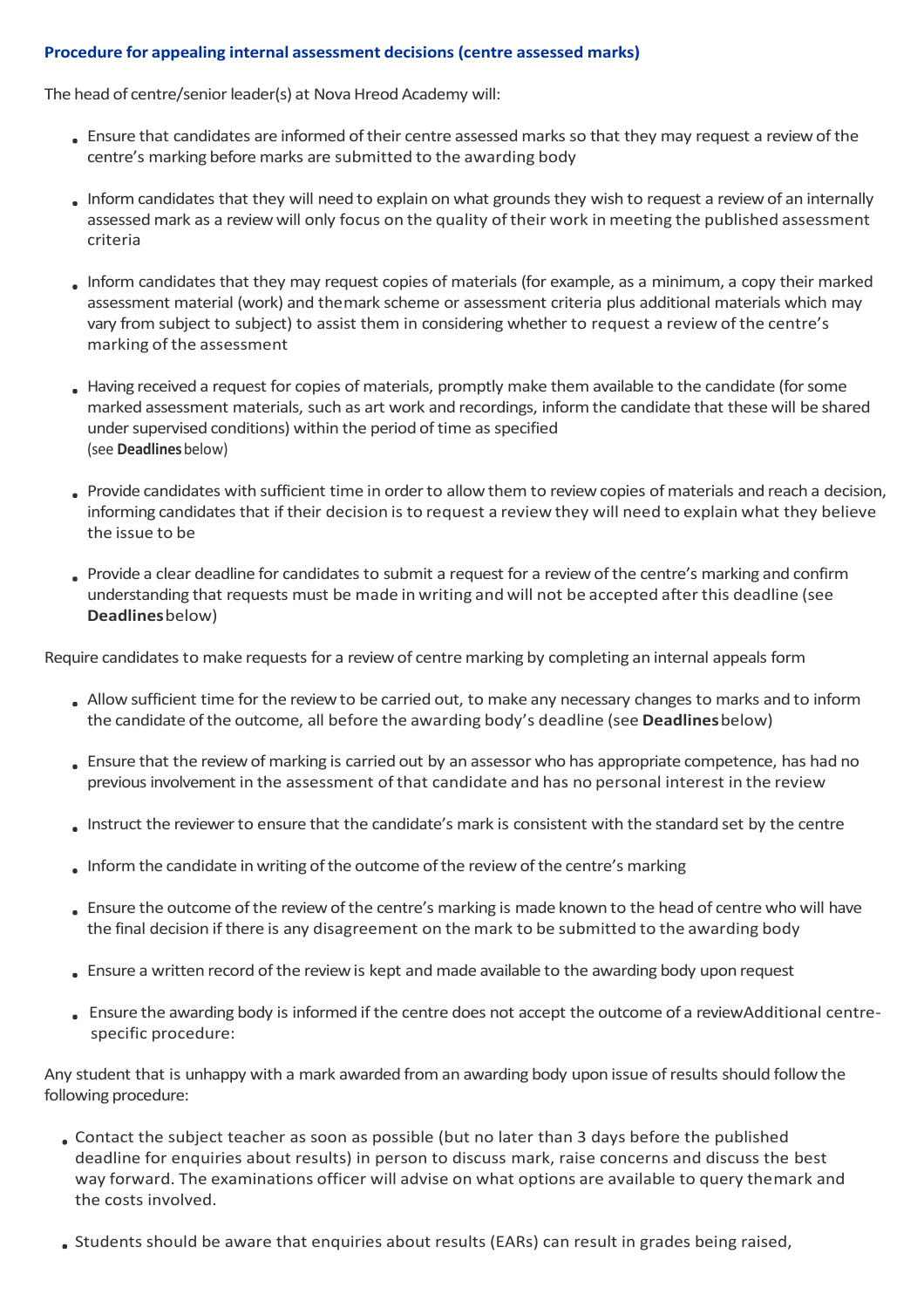# **Procedure for appealing internal assessment decisions (centre assessed marks)**

The head of centre/senior leader(s) at Nova Hreod Academy will:

- Ensure that candidates are informed oftheir centre assessed marks so that they may request a reviewof the centre's marking before marks are submitted to the awarding body
- Inform candidates that they will need to explain on what grounds they wish to request a review of an internally assessed mark as a reviewwill only focus on the quality oftheir work in meeting the published assessment criteria
- Inform candidates that they may request copies of materials (for example, as a minimum, a copy their marked assessment material (work) and themark scheme or assessment criteria plus additional materials which may vary from subject to subject) to assist them in considering whether to request a review of the centre's marking of the assessment
- Having received a request for copies of materials, promptly make them available to the candidate (forsome marked assessment materials, such as art work and recordings, informthe candidate that these will be shared under supervised conditions) within the period of time as specified (see **Deadlines**below)
- Provide candidates with sufficient time in order to allow them to review copies of materials and reach a decision, informing candidates that if their decision is to request a review they will need to explain what they believe the issue to be
- Provide a clear deadline for candidates to submit a request for a review of the centre's marking and confirm understanding that requests must be made in writing and will not be accepted after this deadline (see **Deadlines**below)

Require candidates to make requests for a reviewof centre marking by completing an internal appeals form

- Allow sufficient time forthe reviewto be carried out, to make any necessary changes to marks and to inform the candidate ofthe outcome, all before the awarding body's deadline (see **Deadlines**below)
- Ensure that the reviewofmarking is carried out by an assessor who has appropriate competence, has had no previous involvement in the assessment of that candidate and has no personal interest in the review
- Instruct the reviewerto ensure that the candidate's mark is consistent with the standard set by the centre
- Informthe candidate in writing ofthe outcome ofthe review ofthe centre's marking
- . Ensure the outcome of the review of the centre's marking is made known to the head of centre who will have the final decision if there is any disagreement on the mark to be submitted to the awarding body
- Ensure a written record ofthe reviewis kept and made available to the awarding body upon request
- Ensure the awarding body is informed if the centre does not accept the outcome of a reviewAdditional centrespecific procedure:

Any student that is unhappy with a mark awarded from an awarding body upon issue ofresults should follow the following procedure:

- Contact the subject teacher as soon as possible (but no later than 3 days before the published deadline for enquiries about results) in person to discuss mark, raise concerns and discuss the best way forward. The examinations officer will advise on what options are available to query themark and the costs involved.
- Students should be aware that enquiries about results (EARs) can result in grades being raised,